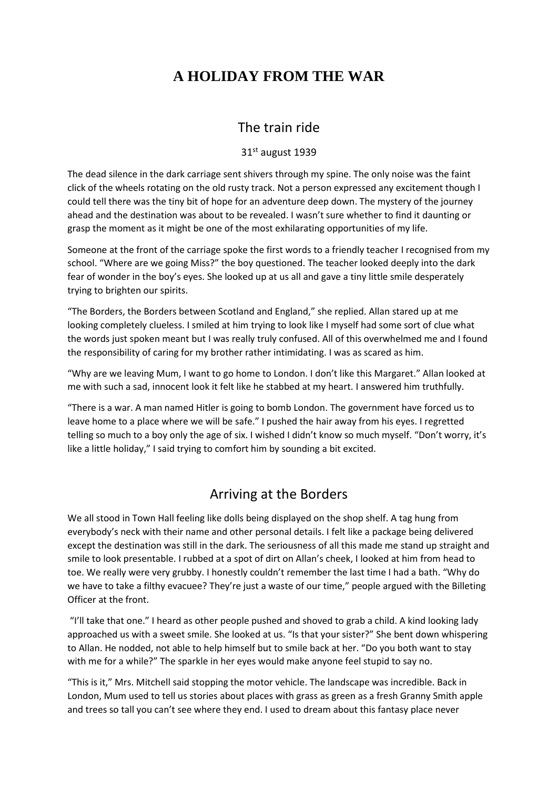# **A HOLIDAY FROM THE WAR**

#### The train ride

#### 31st august 1939

The dead silence in the dark carriage sent shivers through my spine. The only noise was the faint click of the wheels rotating on the old rusty track. Not a person expressed any excitement though I could tell there was the tiny bit of hope for an adventure deep down. The mystery of the journey ahead and the destination was about to be revealed. I wasn't sure whether to find it daunting or grasp the moment as it might be one of the most exhilarating opportunities of my life.

Someone at the front of the carriage spoke the first words to a friendly teacher I recognised from my school. "Where are we going Miss?" the boy questioned. The teacher looked deeply into the dark fear of wonder in the boy's eyes. She looked up at us all and gave a tiny little smile desperately trying to brighten our spirits.

"The Borders, the Borders between Scotland and England," she replied. Allan stared up at me looking completely clueless. I smiled at him trying to look like I myself had some sort of clue what the words just spoken meant but I was really truly confused. All of this overwhelmed me and I found the responsibility of caring for my brother rather intimidating. I was as scared as him.

"Why are we leaving Mum, I want to go home to London. I don't like this Margaret." Allan looked at me with such a sad, innocent look it felt like he stabbed at my heart. I answered him truthfully.

"There is a war. A man named Hitler is going to bomb London. The government have forced us to leave home to a place where we will be safe." I pushed the hair away from his eyes. I regretted telling so much to a boy only the age of six. I wished I didn't know so much myself. "Don't worry, it's like a little holiday," I said trying to comfort him by sounding a bit excited.

### Arriving at the Borders

We all stood in Town Hall feeling like dolls being displayed on the shop shelf. A tag hung from everybody's neck with their name and other personal details. I felt like a package being delivered except the destination was still in the dark. The seriousness of all this made me stand up straight and smile to look presentable. I rubbed at a spot of dirt on Allan's cheek, I looked at him from head to toe. We really were very grubby. I honestly couldn't remember the last time I had a bath. "Why do we have to take a filthy evacuee? They're just a waste of our time," people argued with the Billeting Officer at the front.

"I'll take that one." I heard as other people pushed and shoved to grab a child. A kind looking lady approached us with a sweet smile. She looked at us. "Is that your sister?" She bent down whispering to Allan. He nodded, not able to help himself but to smile back at her. "Do you both want to stay with me for a while?" The sparkle in her eyes would make anyone feel stupid to say no.

"This is it," Mrs. Mitchell said stopping the motor vehicle. The landscape was incredible. Back in London, Mum used to tell us stories about places with grass as green as a fresh Granny Smith apple and trees so tall you can't see where they end. I used to dream about this fantasy place never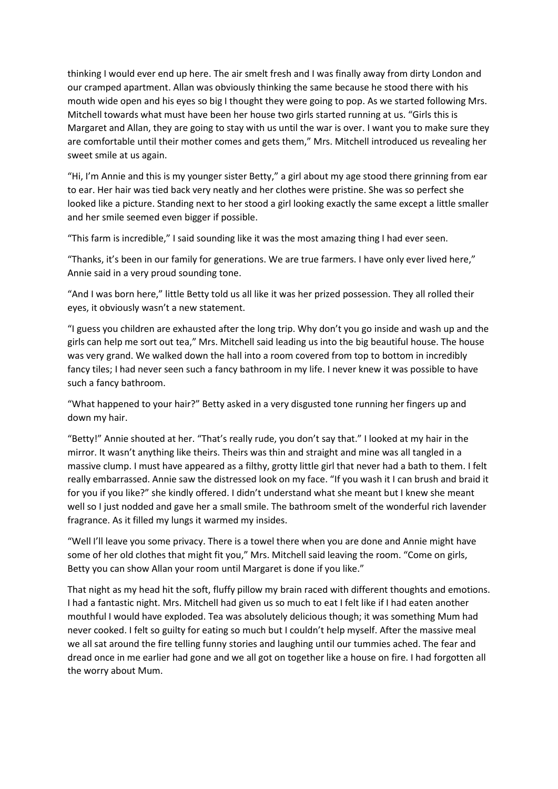thinking I would ever end up here. The air smelt fresh and I was finally away from dirty London and our cramped apartment. Allan was obviously thinking the same because he stood there with his mouth wide open and his eyes so big I thought they were going to pop. As we started following Mrs. Mitchell towards what must have been her house two girls started running at us. "Girls this is Margaret and Allan, they are going to stay with us until the war is over. I want you to make sure they are comfortable until their mother comes and gets them," Mrs. Mitchell introduced us revealing her sweet smile at us again.

"Hi, I'm Annie and this is my younger sister Betty," a girl about my age stood there grinning from ear to ear. Her hair was tied back very neatly and her clothes were pristine. She was so perfect she looked like a picture. Standing next to her stood a girl looking exactly the same except a little smaller and her smile seemed even bigger if possible.

"This farm is incredible," I said sounding like it was the most amazing thing I had ever seen.

"Thanks, it's been in our family for generations. We are true farmers. I have only ever lived here," Annie said in a very proud sounding tone.

"And I was born here," little Betty told us all like it was her prized possession. They all rolled their eyes, it obviously wasn't a new statement.

"I guess you children are exhausted after the long trip. Why don't you go inside and wash up and the girls can help me sort out tea," Mrs. Mitchell said leading us into the big beautiful house. The house was very grand. We walked down the hall into a room covered from top to bottom in incredibly fancy tiles; I had never seen such a fancy bathroom in my life. I never knew it was possible to have such a fancy bathroom.

"What happened to your hair?" Betty asked in a very disgusted tone running her fingers up and down my hair.

"Betty!" Annie shouted at her. "That's really rude, you don't say that." I looked at my hair in the mirror. It wasn't anything like theirs. Theirs was thin and straight and mine was all tangled in a massive clump. I must have appeared as a filthy, grotty little girl that never had a bath to them. I felt really embarrassed. Annie saw the distressed look on my face. "If you wash it I can brush and braid it for you if you like?" she kindly offered. I didn't understand what she meant but I knew she meant well so I just nodded and gave her a small smile. The bathroom smelt of the wonderful rich lavender fragrance. As it filled my lungs it warmed my insides.

"Well I'll leave you some privacy. There is a towel there when you are done and Annie might have some of her old clothes that might fit you," Mrs. Mitchell said leaving the room. "Come on girls, Betty you can show Allan your room until Margaret is done if you like."

That night as my head hit the soft, fluffy pillow my brain raced with different thoughts and emotions. I had a fantastic night. Mrs. Mitchell had given us so much to eat I felt like if I had eaten another mouthful I would have exploded. Tea was absolutely delicious though; it was something Mum had never cooked. I felt so guilty for eating so much but I couldn't help myself. After the massive meal we all sat around the fire telling funny stories and laughing until our tummies ached. The fear and dread once in me earlier had gone and we all got on together like a house on fire. I had forgotten all the worry about Mum.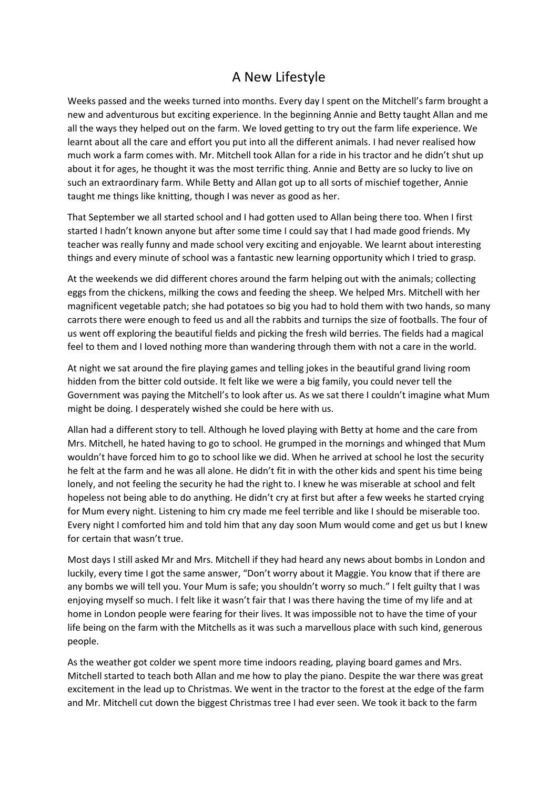## A New Lifestyle

Weeks passed and the weeks turned into months. Every day I spent on the Mitchell's farm brought a new and adventurous but exciting experience. In the beginning Annie and Betty taught Allan and me all the ways they helped out on the farm. We loved getting to try out the farm life experience. We learnt about all the care and effort you put into all the different animals. I had never realised how much work a farm comes with. Mr. Mitchell took Allan for a ride in his tractor and he didn't shut up about it for ages, he thought it was the most terrific thing. Annie and Betty are so lucky to live on such an extraordinary farm. While Betty and Allan got up to all sorts of mischief together, Annie taught me things like knitting, though I was never as good as her.

That September we all started school and I had gotten used to Allan being there too. When I first started I hadn't known anyone but after some time I could say that I had made good friends. My teacher was really funny and made school very exciting and enjoyable. We learnt about interesting things and every minute of school was a fantastic new learning opportunity which I tried to grasp.

At the weekends we did different chores around the farm helping out with the animals; collecting eggs from the chickens, milking the cows and feeding the sheep. We helped Mrs. Mitchell with her magnificent vegetable patch; she had potatoes so big you had to hold them with two hands, so many carrots there were enough to feed us and all the rabbits and turnips the size of footballs. The four of us went off exploring the beautiful fields and picking the fresh wild berries. The fields had a magical feel to them and I loved nothing more than wandering through them with not a care in the world.

At night we sat around the fire playing games and telling jokes in the beautiful grand living room hidden from the bitter cold outside. It felt like we were a big family, you could never tell the Government was paying the Mitchell's to look after us. As we sat there I couldn't imagine what Mum might be doing. I desperately wished she could be here with us.

Allan had a different story to tell. Although he loved playing with Betty at home and the care from Mrs. Mitchell, he hated having to go to school. He grumped in the mornings and whinged that Mum wouldn't have forced him to go to school like we did. When he arrived at school he lost the security he felt at the farm and he was all alone. He didn't fit in with the other kids and spent his time being lonely, and not feeling the security he had the right to. I knew he was miserable at school and felt hopeless not being able to do anything. He didn't cry at first but after a few weeks he started crying for Mum every night. Listening to him cry made me feel terrible and like I should be miserable too. Every night I comforted him and told him that any day soon Mum would come and get us but I knew for certain that wasn't true.

Most days I still asked Mr and Mrs. Mitchell if they had heard any news about bombs in London and luckily, every time I got the same answer, "Don't worry about it Maggie. You know that if there are any bombs we will tell you. Your Mum is safe; you shouldn't worry so much." I felt guilty that I was enjoying myself so much. I felt like it wasn't fair that I was there having the time of my life and at home in London people were fearing for their lives. It was impossible not to have the time of your life being on the farm with the Mitchells as it was such a marvellous place with such kind, generous people.

As the weather got colder we spent more time indoors reading, playing board games and Mrs. Mitchell started to teach both Allan and me how to play the piano. Despite the war there was great excitement in the lead up to Christmas. We went in the tractor to the forest at the edge of the farm and Mr. Mitchell cut down the biggest Christmas tree I had ever seen. We took it back to the farm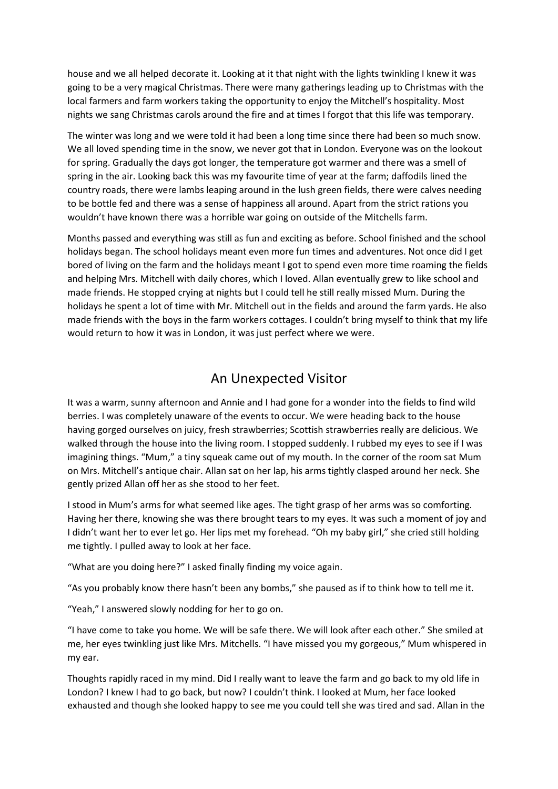house and we all helped decorate it. Looking at it that night with the lights twinkling I knew it was going to be a very magical Christmas. There were many gatherings leading up to Christmas with the local farmers and farm workers taking the opportunity to enjoy the Mitchell's hospitality. Most nights we sang Christmas carols around the fire and at times I forgot that this life was temporary.

The winter was long and we were told it had been a long time since there had been so much snow. We all loved spending time in the snow, we never got that in London. Everyone was on the lookout for spring. Gradually the days got longer, the temperature got warmer and there was a smell of spring in the air. Looking back this was my favourite time of year at the farm; daffodils lined the country roads, there were lambs leaping around in the lush green fields, there were calves needing to be bottle fed and there was a sense of happiness all around. Apart from the strict rations you wouldn't have known there was a horrible war going on outside of the Mitchells farm.

Months passed and everything was still as fun and exciting as before. School finished and the school holidays began. The school holidays meant even more fun times and adventures. Not once did I get bored of living on the farm and the holidays meant I got to spend even more time roaming the fields and helping Mrs. Mitchell with daily chores, which I loved. Allan eventually grew to like school and made friends. He stopped crying at nights but I could tell he still really missed Mum. During the holidays he spent a lot of time with Mr. Mitchell out in the fields and around the farm yards. He also made friends with the boys in the farm workers cottages. I couldn't bring myself to think that my life would return to how it was in London, it was just perfect where we were.

#### An Unexpected Visitor

It was a warm, sunny afternoon and Annie and I had gone for a wonder into the fields to find wild berries. I was completely unaware of the events to occur. We were heading back to the house having gorged ourselves on juicy, fresh strawberries; Scottish strawberries really are delicious. We walked through the house into the living room. I stopped suddenly. I rubbed my eyes to see if I was imagining things. "Mum," a tiny squeak came out of my mouth. In the corner of the room sat Mum on Mrs. Mitchell's antique chair. Allan sat on her lap, his arms tightly clasped around her neck. She gently prized Allan off her as she stood to her feet.

I stood in Mum's arms for what seemed like ages. The tight grasp of her arms was so comforting. Having her there, knowing she was there brought tears to my eyes. It was such a moment of joy and I didn't want her to ever let go. Her lips met my forehead. "Oh my baby girl," she cried still holding me tightly. I pulled away to look at her face.

"What are you doing here?" I asked finally finding my voice again.

"As you probably know there hasn't been any bombs," she paused as if to think how to tell me it.

"Yeah," I answered slowly nodding for her to go on.

"I have come to take you home. We will be safe there. We will look after each other." She smiled at me, her eyes twinkling just like Mrs. Mitchells. "I have missed you my gorgeous," Mum whispered in my ear.

Thoughts rapidly raced in my mind. Did I really want to leave the farm and go back to my old life in London? I knew I had to go back, but now? I couldn't think. I looked at Mum, her face looked exhausted and though she looked happy to see me you could tell she was tired and sad. Allan in the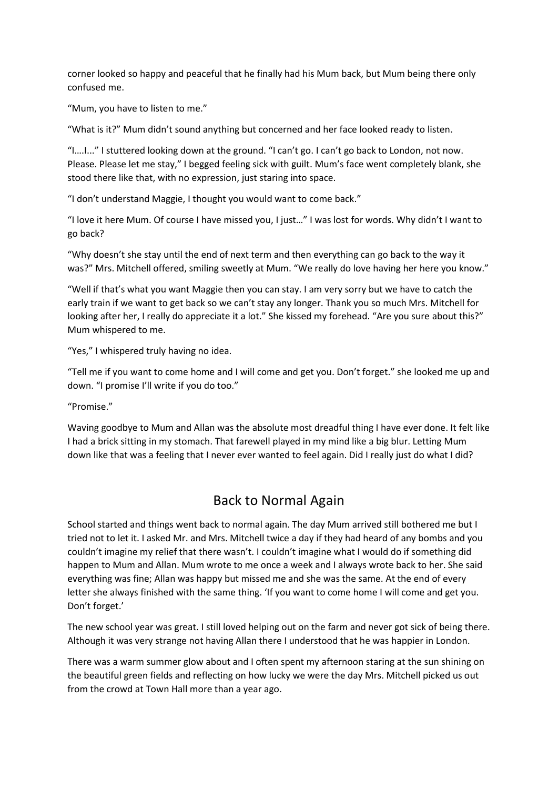corner looked so happy and peaceful that he finally had his Mum back, but Mum being there only confused me.

"Mum, you have to listen to me."

"What is it?" Mum didn't sound anything but concerned and her face looked ready to listen.

"I....I..." I stuttered looking down at the ground. "I can't go. I can't go back to London, not now. Please. Please let me stay," I begged feeling sick with guilt. Mum's face went completely blank, she stood there like that, with no expression, just staring into space.

"I don't understand Maggie, I thought you would want to come back."

"I love it here Mum. Of course I have missed you, I just…" I was lost for words. Why didn't I want to go back?

"Why doesn't she stay until the end of next term and then everything can go back to the way it was?" Mrs. Mitchell offered, smiling sweetly at Mum. "We really do love having her here you know."

"Well if that's what you want Maggie then you can stay. I am very sorry but we have to catch the early train if we want to get back so we can't stay any longer. Thank you so much Mrs. Mitchell for looking after her, I really do appreciate it a lot." She kissed my forehead. "Are you sure about this?" Mum whispered to me.

"Yes," I whispered truly having no idea.

"Tell me if you want to come home and I will come and get you. Don't forget." she looked me up and down. "I promise I'll write if you do too."

"Promise."

Waving goodbye to Mum and Allan was the absolute most dreadful thing I have ever done. It felt like I had a brick sitting in my stomach. That farewell played in my mind like a big blur. Letting Mum down like that was a feeling that I never ever wanted to feel again. Did I really just do what I did?

### Back to Normal Again

School started and things went back to normal again. The day Mum arrived still bothered me but I tried not to let it. I asked Mr. and Mrs. Mitchell twice a day if they had heard of any bombs and you couldn't imagine my relief that there wasn't. I couldn't imagine what I would do if something did happen to Mum and Allan. Mum wrote to me once a week and I always wrote back to her. She said everything was fine; Allan was happy but missed me and she was the same. At the end of every letter she always finished with the same thing. 'If you want to come home I will come and get you. Don't forget.'

The new school year was great. I still loved helping out on the farm and never got sick of being there. Although it was very strange not having Allan there I understood that he was happier in London.

There was a warm summer glow about and I often spent my afternoon staring at the sun shining on the beautiful green fields and reflecting on how lucky we were the day Mrs. Mitchell picked us out from the crowd at Town Hall more than a year ago.